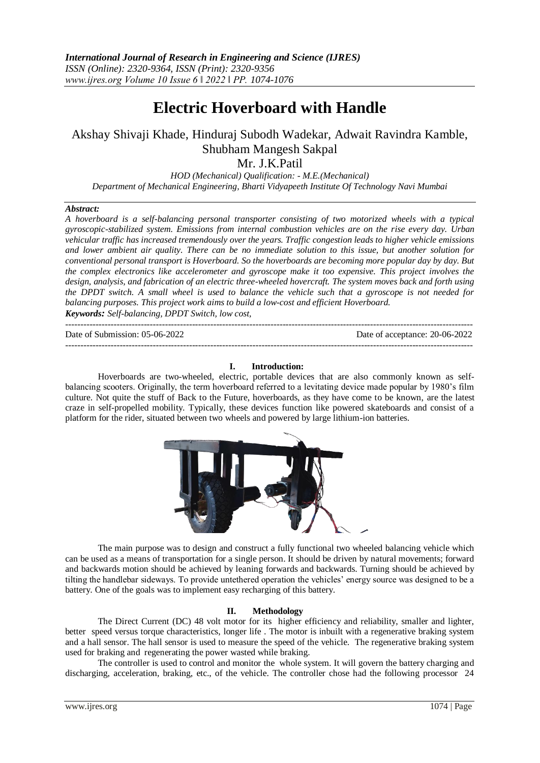# **Electric Hoverboard with Handle**

# Akshay Shivaji Khade, Hinduraj Subodh Wadekar, Adwait Ravindra Kamble, Shubham Mangesh Sakpal

Mr. J.K.Patil

*HOD (Mechanical) Qualification: - M.E.(Mechanical) Department of Mechanical Engineering, Bharti Vidyapeeth Institute Of Technology Navi Mumbai*

# *Abstract:*

*A hoverboard is a self-balancing personal transporter consisting of two motorized wheels with a typical gyroscopic-stabilized system. Emissions from internal combustion vehicles are on the rise every day. Urban vehicular traffic has increased tremendously over the years. Traffic congestion leads to higher vehicle emissions and lower ambient air quality. There can be no immediate solution to this issue, but another solution for conventional personal transport is Hoverboard. So the hoverboards are becoming more popular day by day. But the complex electronics like accelerometer and gyroscope make it too expensive. This project involves the design, analysis, and fabrication of an electric three-wheeled hovercraft. The system moves back and forth using the DPDT switch. A small wheel is used to balance the vehicle such that a gyroscope is not needed for balancing purposes. This project work aims to build a low-cost and efficient Hoverboard. Keywords: Self-balancing, DPDT Switch, low cost,* 

--------------------------------------------------------------------------------------------------------------------------------------- Date of Submission: 05-06-2022 Date of acceptance: 20-06-2022

 $-1\leq i\leq n-1$ 

# **I. Introduction:**

Hoverboards are two-wheeled, electric, portable devices that are also commonly known as selfbalancing scooters. Originally, the term hoverboard referred to a levitating device made popular by 1980's film culture. Not quite the stuff of Back to the Future, hoverboards, as they have come to be known, are the latest craze in self-propelled mobility. Typically, these devices function like powered skateboards and consist of a platform for the rider, situated between two wheels and powered by large lithium-ion batteries.



The main purpose was to design and construct a fully functional two wheeled balancing vehicle which can be used as a means of transportation for a single person. It should be driven by natural movements; forward and backwards motion should be achieved by leaning forwards and backwards. Turning should be achieved by tilting the handlebar sideways. To provide untethered operation the vehicles' energy source was designed to be a battery. One of the goals was to implement easy recharging of this battery.

# **II. Methodology**

The Direct Current (DC) 48 volt motor for its higher efficiency and reliability, smaller and lighter, better speed versus torque characteristics, longer life . The motor is inbuilt with a regenerative braking system and a hall sensor. The hall sensor is used to measure the speed of the vehicle. The regenerative braking system used for braking and regenerating the power wasted while braking.

The controller is used to control and monitor the whole system. It will govern the battery charging and discharging, acceleration, braking, etc., of the vehicle. The controller chose had the following processor 24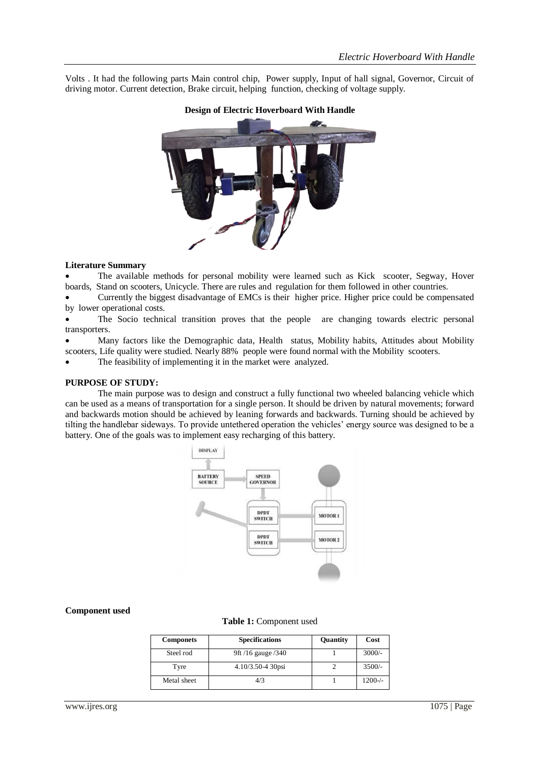Volts . It had the following parts Main control chip, Power supply, Input of hall signal, Governor, Circuit of driving motor. Current detection, Brake circuit, helping function, checking of voltage supply.



# **Design of Electric Hoverboard With Handle**

# **Literature Summary**

 The available methods for personal mobility were learned such as Kick scooter, Segway, Hover boards, Stand on scooters, Unicycle. There are rules and regulation for them followed in other countries.

 Currently the biggest disadvantage of EMCs is their higher price. Higher price could be compensated by lower operational costs.

 The Socio technical transition proves that the people are changing towards electric personal transporters.

 Many factors like the Demographic data, Health status, Mobility habits, Attitudes about Mobility scooters, Life quality were studied. Nearly 88% people were found normal with the Mobility scooters.

The feasibility of implementing it in the market were analyzed.

#### **PURPOSE OF STUDY:**

The main purpose was to design and construct a fully functional two wheeled balancing vehicle which can be used as a means of transportation for a single person. It should be driven by natural movements; forward and backwards motion should be achieved by leaning forwards and backwards. Turning should be achieved by tilting the handlebar sideways. To provide untethered operation the vehicles' energy source was designed to be a battery. One of the goals was to implement easy recharging of this battery.



#### **Component used**

# **Table 1:** Component used

| <b>Componets</b> | <b>Specifications</b> | Quantity | Cost       |
|------------------|-----------------------|----------|------------|
| Steel rod        | 9ft /16 gauge /340    |          | $3000/-$   |
| Tyre             | 4.10/3.50-4 30psi     |          | $3500/-$   |
| Metal sheet      | 4/3                   |          | $1200 -/-$ |